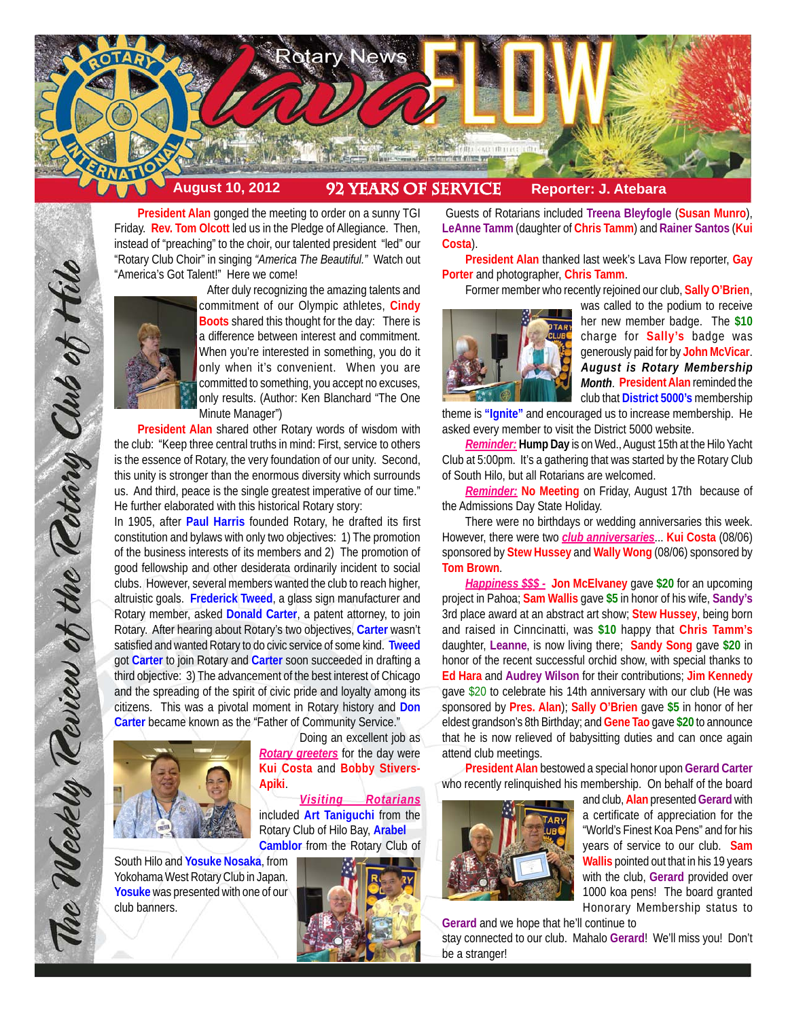

**President Alan** gonged the meeting to order on a sunny TGI Friday. **Rev. Tom Olcott** led us in the Pledge of Allegiance. Then, instead of "preaching" to the choir, our talented president "led" our "Rotary Club Choir" in singing *"America The Beautiful."* Watch out "America's Got Talent!" Here we come!



The Weekly Teview of the Tetary Club of Hilo

After duly recognizing the amazing talents and commitment of our Olympic athletes, **Cindy Boots** shared this thought for the day: There is a difference between interest and commitment. When you're interested in something, you do it only when it's convenient. When you are committed to something, you accept no excuses, only results. (Author: Ken Blanchard "The One Minute Manager")

**President Alan** shared other Rotary words of wisdom with the club: "Keep three central truths in mind: First, service to others is the essence of Rotary, the very foundation of our unity. Second, this unity is stronger than the enormous diversity which surrounds us. And third, peace is the single greatest imperative of our time." He further elaborated with this historical Rotary story:

In 1905, after **Paul Harris** founded Rotary, he drafted its first constitution and bylaws with only two objectives: 1) The promotion of the business interests of its members and 2) The promotion of good fellowship and other desiderata ordinarily incident to social clubs. However, several members wanted the club to reach higher, altruistic goals. **Frederick Tweed**, a glass sign manufacturer and Rotary member, asked **Donald Carter**, a patent attorney, to join Rotary. After hearing about Rotary's two objectives, **Carter** wasn't satisfied and wanted Rotary to do civic service of some kind. **Tweed** got **Carter** to join Rotary and **Carter** soon succeeded in drafting a third objective: 3) The advancement of the best interest of Chicago and the spreading of the spirit of civic pride and loyalty among its citizens. This was a pivotal moment in Rotary history and **Don Carter** became known as the "Father of Community Service."



South Hilo and **Yosuke Nosaka**, from Yokohama West Rotary Club in Japan. **Yosuke** was presented with one of our club banners.

Doing an excellent job as *Rotary greeters* for the day were **Kui Costa** and **Bobby Stivers-Apiki**.

*Visiting Rotarians* included **Art Taniguchi** from the Rotary Club of Hilo Bay, **Arabel Camblor** from the Rotary Club of



 Guests of Rotarians included **Treena Bleyfogle** (**Susan Munro**), **LeAnne Tamm** (daughter of **Chris Tamm**) and **Rainer Santos** (**Kui Costa**).

**President Alan** thanked last week's Lava Flow reporter, **Gay Porter** and photographer, **Chris Tamm**.

Former member who recently rejoined our club, **Sally O'Brien**,



was called to the podium to receive her new member badge. The **\$10** charge for **Sally's** badge was generously paid for by **John McVicar**. *August is Rotary Membership Month*. **President Alan** reminded the club that **District 5000's** membership

theme is **"Ignite"** and encouraged us to increase membership. He asked every member to visit the District 5000 website.

*Reminder:* **Hump Day** is on Wed., August 15th at the Hilo Yacht Club at 5:00pm. It's a gathering that was started by the Rotary Club of South Hilo, but all Rotarians are welcomed.

*Reminder:* **No Meeting** on Friday, August 17th because of the Admissions Day State Holiday.

There were no birthdays or wedding anniversaries this week. However, there were two *club anniversaries*... **Kui Costa** (08/06) sponsored by **Stew Hussey** and **Wally Wong** (08/06) sponsored by **Tom Brown**.

*Happiness \$\$\$ -* **Jon McElvaney** gave **\$20** for an upcoming project in Pahoa; **Sam Wallis** gave **\$5** in honor of his wife, **Sandy's** 3rd place award at an abstract art show; **Stew Hussey**, being born and raised in Cinncinatti, was **\$10** happy that **Chris Tamm's** daughter, **Leanne**, is now living there; **Sandy Song** gave **\$20** in honor of the recent successful orchid show, with special thanks to **Ed Hara** and **Audrey Wilson** for their contributions; **Jim Kennedy** gave \$20 to celebrate his 14th anniversary with our club (He was sponsored by **Pres. Alan**); **Sally O'Brien** gave **\$5** in honor of her eldest grandson's 8th Birthday; and **Gene Tao** gave **\$20** to announce that he is now relieved of babysitting duties and can once again attend club meetings.

**President Alan** bestowed a special honor upon **Gerard Carter** who recently relinquished his membership. On behalf of the board



and club, **Alan** presented **Gerard** with a certificate of appreciation for the "World's Finest Koa Pens" and for his years of service to our club. **Sam Wallis** pointed out that in his 19 years with the club, **Gerard** provided over 1000 koa pens! The board granted Honorary Membership status to

**Gerard** and we hope that he'll continue to

stay connected to our club. Mahalo **Gerard**! We'll miss you! Don't be a stranger!